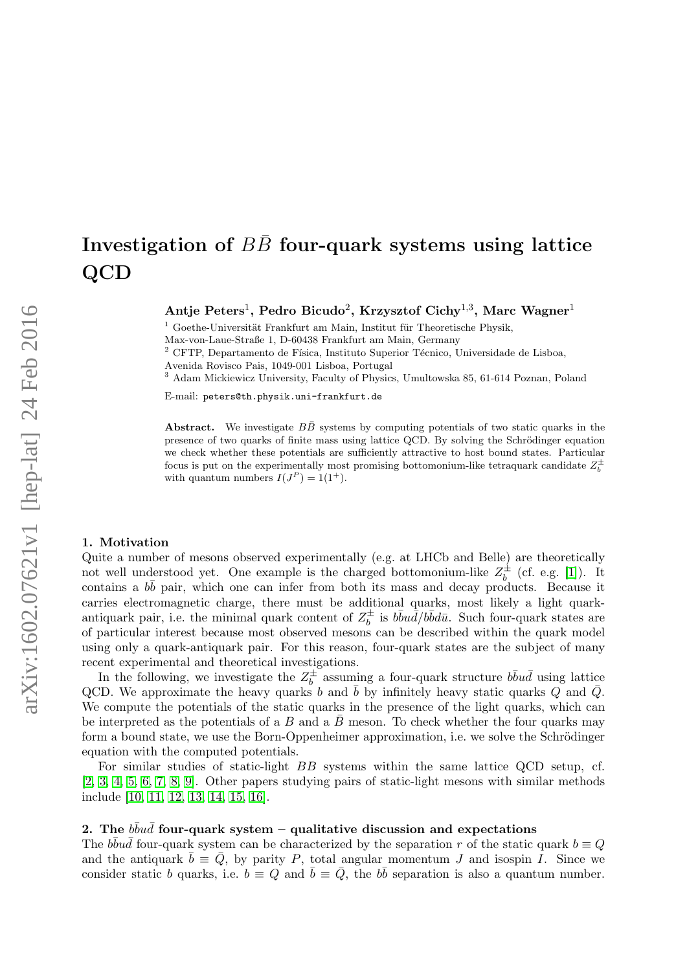# Investigation of  $B\bar{B}$  four-quark systems using lattice QCD

Antje Peters<sup>1</sup>, Pedro Bicudo<sup>2</sup>, Krzysztof Cichy<sup>1,3</sup>, Marc Wagner<sup>1</sup>

 $1$  Goethe-Universität Frankfurt am Main, Institut für Theoretische Physik,

Max-von-Laue-Straße 1, D-60438 Frankfurt am Main, Germany

CFTP, Departamento de Física, Instituto Superior Técnico, Universidade de Lisboa,

Avenida Rovisco Pais, 1049-001 Lisboa, Portugal

<sup>3</sup> Adam Mickiewicz University, Faculty of Physics, Umultowska 85, 61-614 Poznan, Poland

E-mail: peters@th.physik.uni-frankfurt.de

Abstract. We investigate  $B\bar{B}$  systems by computing potentials of two static quarks in the presence of two quarks of finite mass using lattice QCD. By solving the Schrödinger equation we check whether these potentials are sufficiently attractive to host bound states. Particular focus is put on the experimentally most promising bottomonium-like tetraquark candidate  $Z_b^{\pm}$ with quantum numbers  $I(J^P) = 1(1^+).$ 

#### 1. Motivation

Quite a number of mesons observed experimentally (e.g. at LHCb and Belle) are theoretically not well understood yet. One example is the charged bottomonium-like  $Z_h^{\pm}$  $\bar{b}^{\pm}$  (cf. e.g. [\[1\]](#page-3-0)). It contains a  $b\bar{b}$  pair, which one can infer from both its mass and decay products. Because it carries electromagnetic charge, there must be additional quarks, most likely a light quarkantiquark pair, i.e. the minimal quark content of  $Z_h^{\pm}$  $\bar{b}$  is  $b\bar{b}u\bar{d}/b\bar{b}d\bar{u}$ . Such four-quark states are of particular interest because most observed mesons can be described within the quark model using only a quark-antiquark pair. For this reason, four-quark states are the subject of many recent experimental and theoretical investigations.

In the following, we investigate the  $Z_h^{\pm}$  $\overline{b}$  assuming a four-quark structure  $b\overline{b}u\overline{d}$  using lattice QCD. We approximate the heavy quarks b and  $\bar{b}$  by infinitely heavy static quarks Q and  $\bar{Q}$ . We compute the potentials of the static quarks in the presence of the light quarks, which can be interpreted as the potentials of a B and a  $\bar{B}$  meson. To check whether the four quarks may form a bound state, we use the Born-Oppenheimer approximation, i.e. we solve the Schrödinger equation with the computed potentials.

For similar studies of static-light BB systems within the same lattice QCD setup, cf. [\[2,](#page-3-1) [3,](#page-4-0) [4,](#page-4-1) [5,](#page-4-2) [6,](#page-4-3) [7,](#page-4-4) [8,](#page-4-5) [9\]](#page-4-6). Other papers studying pairs of static-light mesons with similar methods include [\[10,](#page-4-7) [11,](#page-4-8) [12,](#page-4-9) [13,](#page-4-10) [14,](#page-4-11) [15,](#page-4-12) [16\]](#page-4-13).

## 2. The  $b\bar{b}u\bar{d}$  four-quark system – qualitative discussion and expectations

The  $b\bar{b}u\bar{d}$  four-quark system can be characterized by the separation r of the static quark  $b \equiv Q$ and the antiquark  $\bar{b} \equiv \bar{Q}$ , by parity P, total angular momentum J and isospin I. Since we consider static b quarks, i.e.  $b = Q$  and  $\bar{b} = \bar{Q}$ , the b $\bar{b}$  separation is also a quantum number.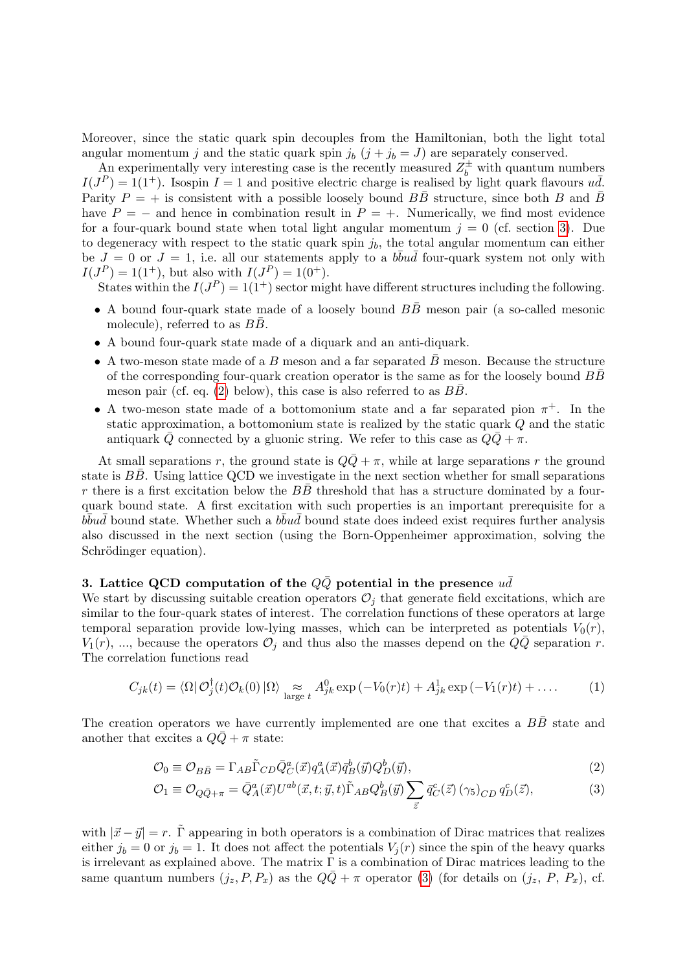Moreover, since the static quark spin decouples from the Hamiltonian, both the light total angular momentum j and the static quark spin  $j_b$   $(j + j_b = J)$  are separately conserved.

An experimentally very interesting case is the recently measured  $Z_b^{\pm}$  with quantum numbers  $I(J^P) = 1(1^+)$ . Isospin  $I = 1$  and positive electric charge is realised by light quark flavours  $u\bar{d}$ . Parity  $P = +$  is consistent with a possible loosely bound  $B\overline{B}$  structure, since both B and  $\overline{B}$ have  $P = -$  and hence in combination result in  $P = +$ . Numerically, we find most evidence for a four-quark bound state when total light angular momentum  $j = 0$  (cf. section [3\)](#page-1-0). Due to degeneracy with respect to the static quark spin  $j<sub>b</sub>$ , the total angular momentum can either be  $J = 0$  or  $J = 1$ , i.e. all our statements apply to a  $b\overline{b}u\overline{d}$  four-quark system not only with  $I(J^P) = 1(1^+),$  but also with  $I(J^P) = 1(0^+).$ 

States within the  $I(J^P) = 1(1^+)$  sector might have different structures including the following.

- A bound four-quark state made of a loosely bound  $B\bar{B}$  meson pair (a so-called mesonic molecule), referred to as  $B\overline{B}$ .
- A bound four-quark state made of a diquark and an anti-diquark.
- A two-meson state made of a B meson and a far separated  $\bar{B}$  meson. Because the structure of the corresponding four-quark creation operator is the same as for the loosely bound  $B\bar{B}$ meson pair (cf. eq.  $(2)$  below), this case is also referred to as BB.
- A two-meson state made of a bottomonium state and a far separated pion  $\pi^+$ . In the static approximation, a bottomonium state is realized by the static quark Q and the static antiquark  $\overline{Q}$  connected by a gluonic string. We refer to this case as  $Q\overline{Q} + \pi$ .

At small separations r, the ground state is  $Q\overline{Q} + \pi$ , while at large separations r the ground state is  $B\bar{B}$ . Using lattice QCD we investigate in the next section whether for small separations r there is a first excitation below the  $B\bar{B}$  threshold that has a structure dominated by a fourquark bound state. A first excitation with such properties is an important prerequisite for a  $\overline{b} \overline{b} u \overline{d}$  bound state. Whether such a  $b \overline{b} u \overline{d}$  bound state does indeed exist requires further analysis also discussed in the next section (using the Born-Oppenheimer approximation, solving the Schrödinger equation).

### <span id="page-1-0"></span>3. Lattice QCD computation of the  $Q\bar{Q}$  potential in the presence  $u\bar{d}$

We start by discussing suitable creation operators  $\mathcal{O}_j$  that generate field excitations, which are similar to the four-quark states of interest. The correlation functions of these operators at large temporal separation provide low-lying masses, which can be interpreted as potentials  $V_0(r)$ ,  $V_1(r)$ , ..., because the operators  $\mathcal{O}_j$  and thus also the masses depend on the  $QQ$  separation r. The correlation functions read

<span id="page-1-3"></span>
$$
C_{jk}(t) = \langle \Omega | \mathcal{O}_j^{\dagger}(t) \mathcal{O}_k(0) | \Omega \rangle \underset{\text{large } t}{\approx} A_{jk}^0 \exp(-V_0(r)t) + A_{jk}^1 \exp(-V_1(r)t) + \dots \tag{1}
$$

The creation operators we have currently implemented are one that excites a  $B\bar{B}$  state and another that excites a  $QQ + \pi$  state:

$$
\mathcal{O}_0 \equiv \mathcal{O}_{B\bar{B}} = \Gamma_{AB}\tilde{\Gamma}_{CD}\bar{Q}_C^a(\vec{x})q_A^a(\vec{x})\bar{q}_B^b(\vec{y})Q_D^b(\vec{y}),\tag{2}
$$

<span id="page-1-2"></span><span id="page-1-1"></span>
$$
\mathcal{O}_1 \equiv \mathcal{O}_{Q\bar{Q}+\pi} = \bar{Q}_A^a(\vec{x}) U^{ab}(\vec{x}, t; \vec{y}, t) \tilde{\Gamma}_{AB} Q_B^b(\vec{y}) \sum_{\vec{z}} \bar{q}_C^c(\vec{z}) (\gamma_5)_{CD} q_D^c(\vec{z}), \tag{3}
$$

with  $|\vec{x} - \vec{y}| = r$ . Γ appearing in both operators is a combination of Dirac matrices that realizes either  $j_b = 0$  or  $j_b = 1$ . It does not affect the potentials  $V_j(r)$  since the spin of the heavy quarks is irrelevant as explained above. The matrix  $\Gamma$  is a combination of Dirac matrices leading to the same quantum numbers  $(j_z, P, P_x)$  as the  $Q\overline{Q} + \pi$  operator [\(3\)](#page-1-2) (for details on  $(j_z, P, P_x)$ , cf.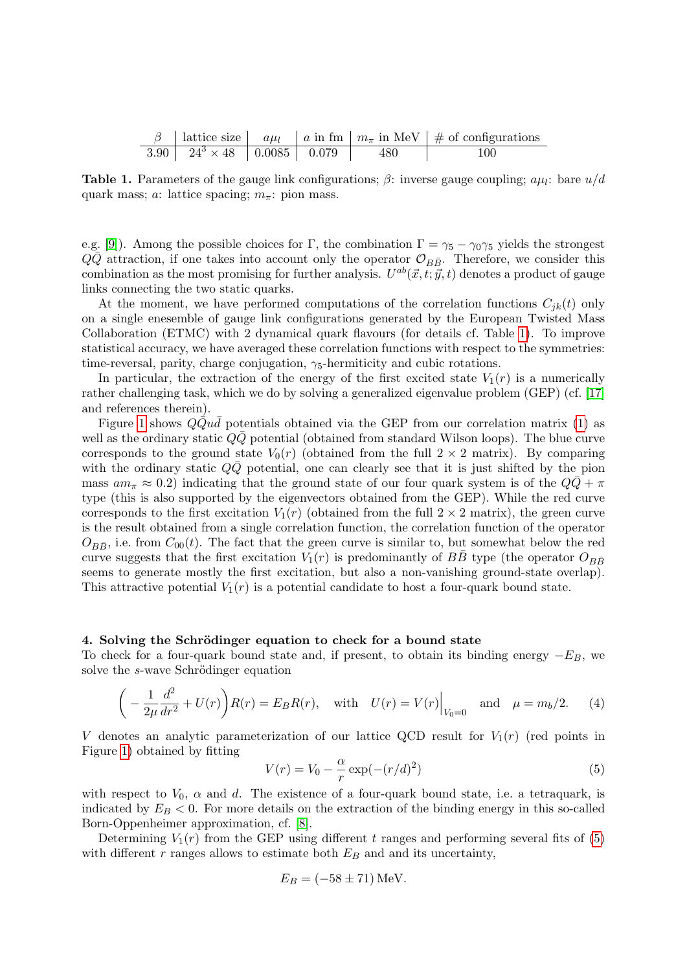<span id="page-2-0"></span>

|                                            |  |     | $\beta$   lattice size   $a\mu_l$   a in fm   $m_{\pi}$ in MeV   # of configurations |
|--------------------------------------------|--|-----|--------------------------------------------------------------------------------------|
| $3.90$   $24^3 \times 48$   0.0085   0.079 |  | 480 | 100                                                                                  |

**Table 1.** Parameters of the gauge link configurations;  $\beta$ : inverse gauge coupling;  $a\mu_l$ : bare  $u/d$ quark mass; a: lattice spacing;  $m_{\pi}$ : pion mass.

e.g. [\[9\]](#page-4-6)). Among the possible choices for Γ, the combination  $\Gamma = \gamma_5 - \gamma_0 \gamma_5$  yields the strongest  $Q\bar{Q}$  attraction, if one takes into account only the operator  $\mathcal{O}_{B\bar{B}}$ . Therefore, we consider this combination as the most promising for further analysis.  $U^{ab}(\vec{x}, t; \vec{y}, t)$  denotes a product of gauge links connecting the two static quarks.

At the moment, we have performed computations of the correlation functions  $C_{ik}(t)$  only on a single enesemble of gauge link configurations generated by the European Twisted Mass Collaboration (ETMC) with 2 dynamical quark flavours (for details cf. Table [1\)](#page-2-0). To improve statistical accuracy, we have averaged these correlation functions with respect to the symmetries: time-reversal, parity, charge conjugation,  $\gamma_5$ -hermiticity and cubic rotations.

In particular, the extraction of the energy of the first excited state  $V_1(r)$  is a numerically rather challenging task, which we do by solving a generalized eigenvalue problem (GEP) (cf. [\[17\]](#page-4-14) and references therein).

Figure [1](#page-3-2) shows  $Q\bar{Q}u\bar{d}$  potentials obtained via the GEP from our correlation matrix [\(1\)](#page-1-3) as well as the ordinary static  $Q\bar{Q}$  potential (obtained from standard Wilson loops). The blue curve corresponds to the ground state  $V_0(r)$  (obtained from the full  $2 \times 2$  matrix). By comparing with the ordinary static  $QQ$  potential, one can clearly see that it is just shifted by the pion mass  $am_\pi \approx 0.2$ ) indicating that the ground state of our four quark system is of the  $QQ + \pi$ type (this is also supported by the eigenvectors obtained from the GEP). While the red curve corresponds to the first excitation  $V_1(r)$  (obtained from the full  $2 \times 2$  matrix), the green curve is the result obtained from a single correlation function, the correlation function of the operator  $O_{B\bar{B}}$ , i.e. from  $C_{00}(t)$ . The fact that the green curve is similar to, but somewhat below the red curve suggests that the first excitation  $V_1(r)$  is predominantly of  $B\bar{B}$  type (the operator  $O_{B\bar{B}}$ seems to generate mostly the first excitation, but also a non-vanishing ground-state overlap). This attractive potential  $V_1(r)$  is a potential candidate to host a four-quark bound state.

#### 4. Solving the Schrödinger equation to check for a bound state

To check for a four-quark bound state and, if present, to obtain its binding energy  $-E_B$ , we solve the s-wave Schrödinger equation

$$
\left(-\frac{1}{2\mu}\frac{d^2}{dr^2} + U(r)\right)R(r) = E_B R(r), \text{ with } U(r) = V(r)\Big|_{V_0=0} \text{ and } \mu = m_b/2. \tag{4}
$$

V denotes an analytic parameterization of our lattice QCD result for  $V_1(r)$  (red points in Figure [1\)](#page-3-2) obtained by fitting

<span id="page-2-1"></span>
$$
V(r) = V_0 - \frac{\alpha}{r} \exp(-(r/d)^2)
$$
\n
$$
\tag{5}
$$

with respect to  $V_0$ ,  $\alpha$  and  $d$ . The existence of a four-quark bound state, i.e. a tetraquark, is indicated by  $E_B < 0$ . For more details on the extraction of the binding energy in this so-called Born-Oppenheimer approximation, cf. [\[8\]](#page-4-5).

Determining  $V_1(r)$  from the GEP using different t ranges and performing several fits of [\(5\)](#page-2-1) with different  $r$  ranges allows to estimate both  $E_B$  and and its uncertainty,

$$
E_B = (-58 \pm 71) \,\text{MeV}.
$$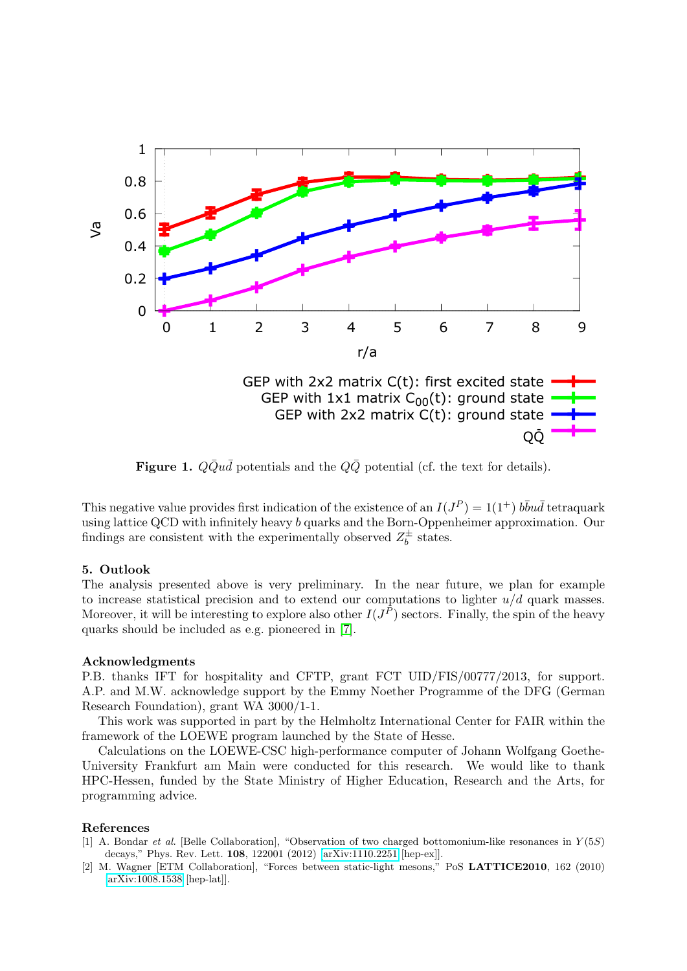

<span id="page-3-2"></span>Figure 1.  $Q\bar{Q}u\bar{d}$  potentials and the  $Q\bar{Q}$  potential (cf. the text for details).

This negative value provides first indication of the existence of an  $I(J^P) = 1(1^+)$   $b\bar{b}u\bar{d}$  tetraquark using lattice QCD with infinitely heavy b quarks and the Born-Oppenheimer approximation. Our findings are consistent with the experimentally observed  $Z_h^{\pm}$  $b^{\pm}$  states.

## 5. Outlook

The analysis presented above is very preliminary. In the near future, we plan for example to increase statistical precision and to extend our computations to lighter  $u/d$  quark masses. Moreover, it will be interesting to explore also other  $I(J^P)$  sectors. Finally, the spin of the heavy quarks should be included as e.g. pioneered in [\[7\]](#page-4-4).

## Acknowledgments

P.B. thanks IFT for hospitality and CFTP, grant FCT UID/FIS/00777/2013, for support. A.P. and M.W. acknowledge support by the Emmy Noether Programme of the DFG (German Research Foundation), grant WA 3000/1-1.

This work was supported in part by the Helmholtz International Center for FAIR within the framework of the LOEWE program launched by the State of Hesse.

Calculations on the LOEWE-CSC high-performance computer of Johann Wolfgang Goethe-University Frankfurt am Main were conducted for this research. We would like to thank HPC-Hessen, funded by the State Ministry of Higher Education, Research and the Arts, for programming advice.

## References

- <span id="page-3-0"></span>[1] A. Bondar et al. [Belle Collaboration], "Observation of two charged bottomonium-like resonances in Y (5S) decays," Phys. Rev. Lett. 108, 122001 (2012) [\[arXiv:1110.2251](http://arxiv.org/abs/1110.2251) [hep-ex]].
- <span id="page-3-1"></span>[2] M. Wagner [ETM Collaboration], "Forces between static-light mesons," PoS LATTICE2010, 162 (2010) [\[arXiv:1008.1538](http://arxiv.org/abs/1008.1538) [hep-lat]].